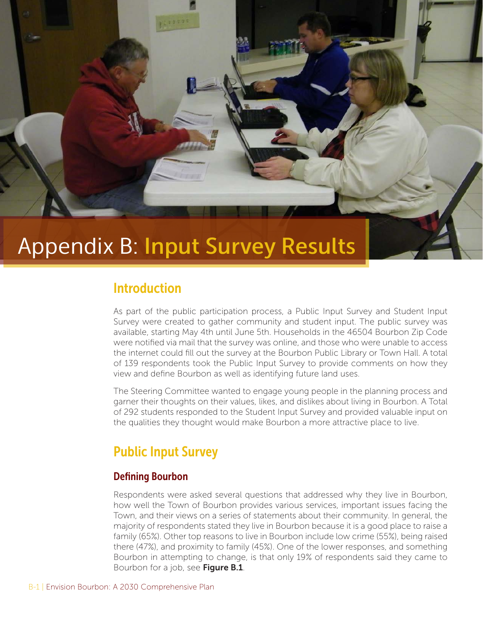

# Appendix B: Input Survey Results

# Introduction

As part of the public participation process, a Public Input Survey and Student Input Survey were created to gather community and student input. The public survey was available, starting May 4th until June 5th. Households in the 46504 Bourbon Zip Code were notified via mail that the survey was online, and those who were unable to access the internet could fill out the survey at the Bourbon Public Library or Town Hall. A total of 139 respondents took the Public Input Survey to provide comments on how they view and define Bourbon as well as identifying future land uses.

The Steering Committee wanted to engage young people in the planning process and garner their thoughts on their values, likes, and dislikes about living in Bourbon. A Total of 292 students responded to the Student Input Survey and provided valuable input on the qualities they thought would make Bourbon a more attractive place to live.

# Public Input Survey

# Defining Bourbon

Respondents were asked several questions that addressed why they live in Bourbon, how well the Town of Bourbon provides various services, important issues facing the Town, and their views on a series of statements about their community. In general, the majority of respondents stated they live in Bourbon because it is a good place to raise a family (65%). Other top reasons to live in Bourbon include low crime (55%), being raised there (47%), and proximity to family (45%). One of the lower responses, and something Bourbon in attempting to change, is that only 19% of respondents said they came to Bourbon for a job, see Figure B.1.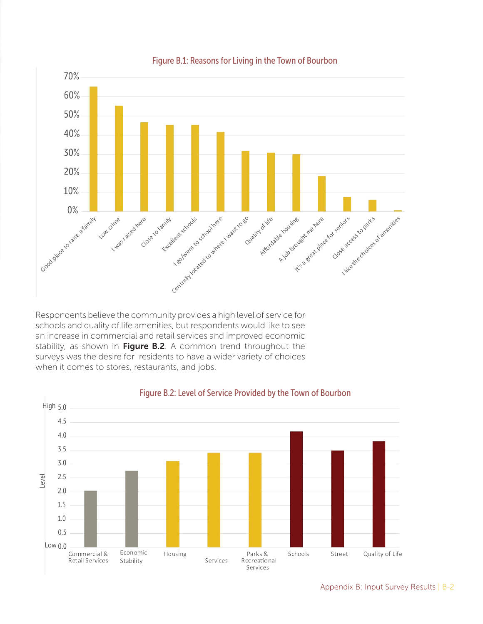

#### Figure B.1: Reasons for Living in the Town of Bourbon

Respondents believe the community provides a high level of service for schools and quality of life amenities, but respondents would like to see an increase in commercial and retail services and improved economic stability, as shown in Figure B.2. A common trend throughout the surveys was the desire for residents to have a wider variety of choices when it comes to stores, restaurants, and jobs.



#### Figure B.2: Level of Service Provided by the Town of Bourbon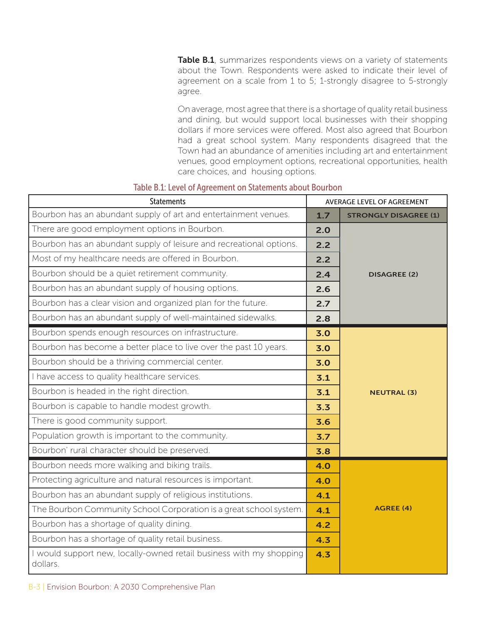Table B.1, summarizes respondents views on a variety of statements about the Town. Respondents were asked to indicate their level of agreement on a scale from 1 to 5; 1-strongly disagree to 5-strongly agree.

On average, most agree that there is a shortage of quality retail business and dining, but would support local businesses with their shopping dollars if more services were offered. Most also agreed that Bourbon had a great school system. Many respondents disagreed that the Town had an abundance of amenities including art and entertainment venues, good employment options, recreational opportunities, health care choices, and housing options.

| <b>Statements</b>                                                               | <b>AVERAGE LEVEL OF AGREEMENT</b> |                              |
|---------------------------------------------------------------------------------|-----------------------------------|------------------------------|
| Bourbon has an abundant supply of art and entertainment venues.                 | 1.7                               | <b>STRONGLY DISAGREE (1)</b> |
| There are good employment options in Bourbon.                                   | 2.0                               |                              |
| Bourbon has an abundant supply of leisure and recreational options.             | 2.2                               |                              |
| Most of my healthcare needs are offered in Bourbon.                             | 2.2                               |                              |
| Bourbon should be a quiet retirement community.                                 | 2.4                               | <b>DISAGREE (2)</b>          |
| Bourbon has an abundant supply of housing options.                              | 2.6                               |                              |
| Bourbon has a clear vision and organized plan for the future.                   | 2.7                               |                              |
| Bourbon has an abundant supply of well-maintained sidewalks.                    | 2.8                               |                              |
| Bourbon spends enough resources on infrastructure.                              | 3.0                               |                              |
| Bourbon has become a better place to live over the past 10 years.               | 3.0                               |                              |
| Bourbon should be a thriving commercial center.                                 | 3.0                               |                              |
| I have access to quality healthcare services.                                   | 3.1                               |                              |
| Bourbon is headed in the right direction.                                       | 3.1                               | <b>NEUTRAL (3)</b>           |
| Bourbon is capable to handle modest growth.                                     | 3.3                               |                              |
| There is good community support.                                                | 3.6                               |                              |
| Population growth is important to the community.                                | 3.7                               |                              |
| Bourbon' rural character should be preserved.                                   | 3.8                               |                              |
| Bourbon needs more walking and biking trails.                                   | 4.0                               |                              |
| Protecting agriculture and natural resources is important.                      | 4.0                               |                              |
| Bourbon has an abundant supply of religious institutions.                       | 4.1                               |                              |
| The Bourbon Community School Corporation is a great school system.              | 4.1                               | <b>AGREE (4)</b>             |
| Bourbon has a shortage of quality dining.                                       | 4.2                               |                              |
| Bourbon has a shortage of quality retail business.                              | 4.3                               |                              |
| I would support new, locally-owned retail business with my shopping<br>dollars. | 4.3                               |                              |

#### Table B.1: Level of Agreement on Statements about Bourbon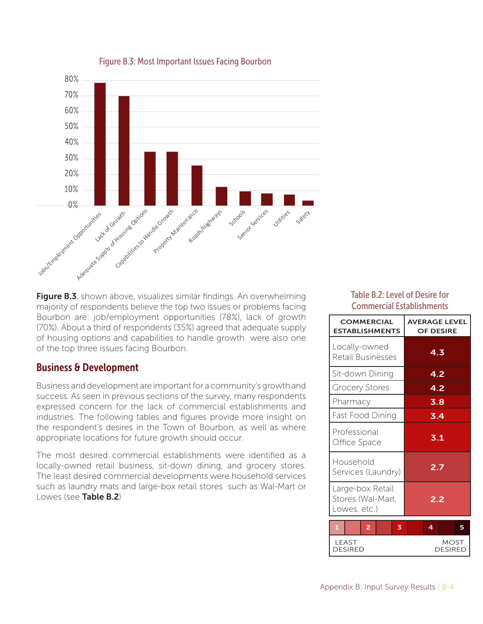

#### Figure B.3: Most Important Issues Facing Bourbon

**Figure B.3**, shown above, visualizes similar findings. An overwhelming majority of respondents believe the top two issues or problems facing Bourbon are: job/employment opportunities (78%), lack of growth (70%). About a third of respondents (35%) agreed that adequate supply of housing options and capabilities to handle growth were also one of the top three issues facing Bourbon.

### Business & Development

Business and development are important for a community's growth and success. As seen in previous sections of the survey, many respondents expressed concern for the lack of commercial establishments and industries. The following tables and figures provide more insight on the respondent's desires in the Town of Bourbon, as well as where appropriate locations for future growth should occur.

The most desired commercial establishments were identified as a locally-owned retail business, sit-down dining, and grocery stores. The least desired commercial developments were household services such as laundry mats and large-box retail stores such as Wal-Mart or Lowes (see Table B.2)

### Table B.2: Level of Desire for Commercial Establishments

| <b>COMMERCIAL</b><br><b>ESTABLISHMENTS</b>            | <b>AVERAGE LEVEL</b><br><b>OF DESIRE</b> |  |
|-------------------------------------------------------|------------------------------------------|--|
| Locally-owned<br>Retail Businesses                    | 4.3                                      |  |
| Sit-down Dining                                       | 4.2                                      |  |
| <b>Grocery Stores</b>                                 | 4.2                                      |  |
| Pharmacy                                              | 3.8                                      |  |
| Fast Food Dining                                      | 3.4                                      |  |
| Professional<br>Office Space                          | 3.1                                      |  |
| Household<br>Services (Laundry)                       | 2.7                                      |  |
| Large-box Retail<br>Stores (Wal-Mart,<br>Lowes, etc.) | 2.2                                      |  |
| 2<br>$\mathbf{1}$<br>3                                | 4<br>5                                   |  |
| LEAST<br><b>DESIRED</b>                               | MOST<br>DESIRED                          |  |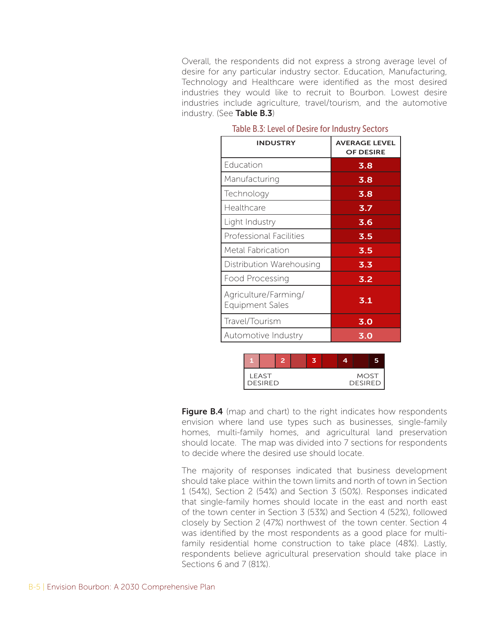Overall, the respondents did not express a strong average level of desire for any particular industry sector. Education, Manufacturing, Technology and Healthcare were identified as the most desired industries they would like to recruit to Bourbon. Lowest desire industries include agriculture, travel/tourism, and the automotive industry. (See Table B.3)

| <b>INDUSTRY</b>                                | <b>AVERAGE LEVEL</b><br><b>OF DESIRE</b> |
|------------------------------------------------|------------------------------------------|
| Education                                      | 3.8                                      |
| Manufacturing                                  | 3.8                                      |
| Technology                                     | 3.8                                      |
| Healthcare                                     | 3.7                                      |
| Light Industry                                 | 3.6                                      |
| Professional Facilities                        | 3.5                                      |
| Metal Fabrication                              | 3.5                                      |
| Distribution Warehousing                       | 3.3                                      |
| Food Processing                                | 3.2                                      |
| Agriculture/Farming/<br><b>Equipment Sales</b> | 3.1                                      |
| Travel/Tourism                                 | 3.0                                      |
| Automotive Industry                            | 3.0                                      |

#### Table B.3: Level of Desire for Industry Sectors



Figure B.4 (map and chart) to the right indicates how respondents envision where land use types such as businesses, single-family homes, multi-family homes, and agricultural land preservation should locate. The map was divided into 7 sections for respondents to decide where the desired use should locate.

The majority of responses indicated that business development should take place within the town limits and north of town in Section 1 (54%), Section 2 (54%) and Section 3 (50%). Responses indicated that single-family homes should locate in the east and north east of the town center in Section 3 (53%) and Section 4 (52%), followed closely by Section 2 (47%) northwest of the town center. Section 4 was identified by the most respondents as a good place for multifamily residential home construction to take place (48%). Lastly, respondents believe agricultural preservation should take place in Sections 6 and 7 (81%).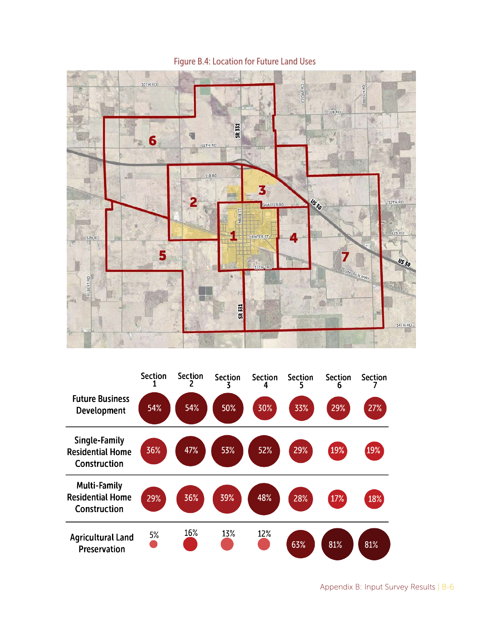

Figure B.4: Location for Future Land Uses

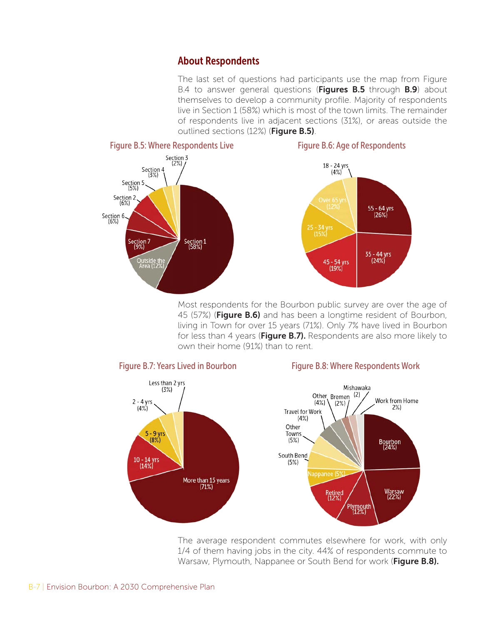# About Respondents

The last set of questions had participants use the map from Figure B.4 to answer general questions (Figures B.5 through B.9) about themselves to develop a community profile. Majority of respondents live in Section 1 (58%) which is most of the town limits. The remainder of respondents live in adjacent sections (31%), or areas outside the outlined sections (12%) (Figure B.5).



Most respondents for the Bourbon public survey are over the age of 45 (57%) (Figure B.6) and has been a longtime resident of Bourbon, living in Town for over 15 years (71%). Only 7% have lived in Bourbon for less than 4 years (Figure B.7). Respondents are also more likely to own their home (91%) than to rent.



The average respondent commutes elsewhere for work, with only 1/4 of them having jobs in the city. 44% of respondents commute to Warsaw, Plymouth, Nappanee or South Bend for work (Figure B.8).

#### B-7 | Envision Bourbon: A 2030 Comprehensive Plan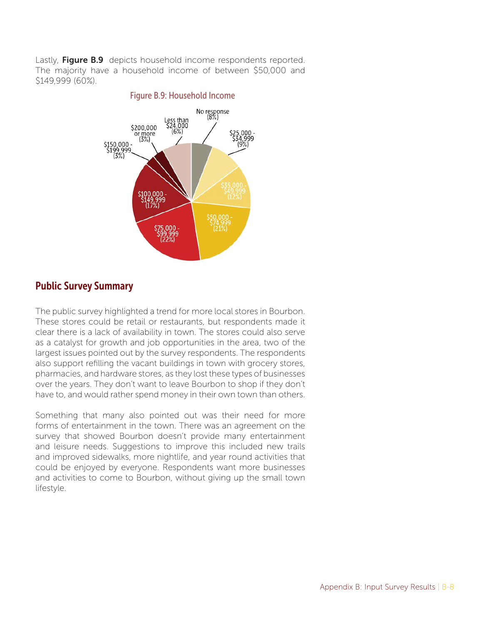Lastly, Figure B.9 depicts household income respondents reported. The majority have a household income of between \$50,000 and \$149,999 (60%).

#### Figure B.9: Household Income



# Public Survey Summary

The public survey highlighted a trend for more local stores in Bourbon. These stores could be retail or restaurants, but respondents made it clear there is a lack of availability in town. The stores could also serve as a catalyst for growth and job opportunities in the area, two of the largest issues pointed out by the survey respondents. The respondents also support refilling the vacant buildings in town with grocery stores, pharmacies, and hardware stores, as they lost these types of businesses over the years. They don't want to leave Bourbon to shop if they don't have to, and would rather spend money in their own town than others.

Something that many also pointed out was their need for more forms of entertainment in the town. There was an agreement on the survey that showed Bourbon doesn't provide many entertainment and leisure needs. Suggestions to improve this included new trails and improved sidewalks, more nightlife, and year round activities that could be enjoyed by everyone. Respondents want more businesses and activities to come to Bourbon, without giving up the small town lifestyle.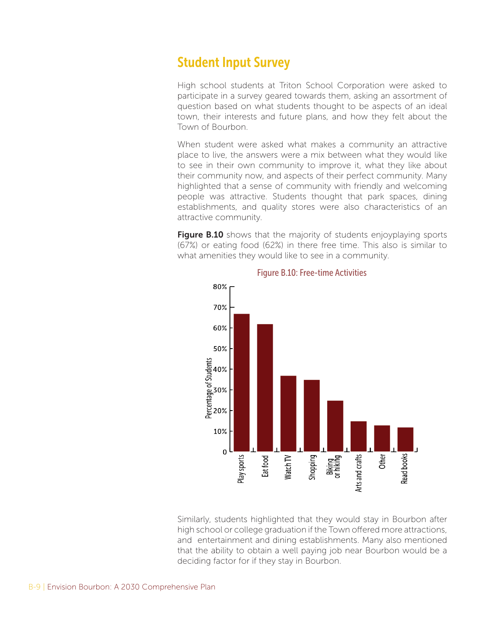# Student Input Survey

High school students at Triton School Corporation were asked to participate in a survey geared towards them, asking an assortment of question based on what students thought to be aspects of an ideal town, their interests and future plans, and how they felt about the Town of Bourbon.

When student were asked what makes a community an attractive place to live, the answers were a mix between what they would like to see in their own community to improve it, what they like about their community now, and aspects of their perfect community. Many highlighted that a sense of community with friendly and welcoming people was attractive. Students thought that park spaces, dining establishments, and quality stores were also characteristics of an attractive community.

**Figure B.10** shows that the majority of students enjoyplaying sports (67%) or eating food (62%) in there free time. This also is similar to what amenities they would like to see in a community.



#### Figure B.10: Free-time Activities

Similarly, students highlighted that they would stay in Bourbon after high school or college graduation if the Town offered more attractions, and entertainment and dining establishments. Many also mentioned that the ability to obtain a well paying job near Bourbon would be a deciding factor for if they stay in Bourbon.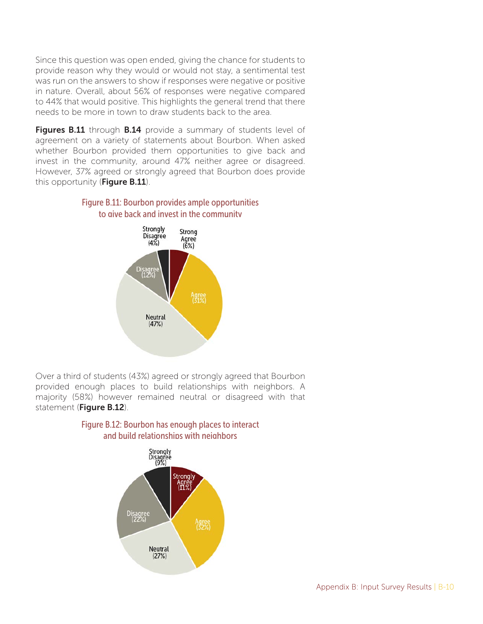Since this question was open ended, giving the chance for students to provide reason why they would or would not stay, a sentimental test was run on the answers to show if responses were negative or positive in nature. Overall, about 56% of responses were negative compared to 44% that would positive. This highlights the general trend that there needs to be more in town to draw students back to the area.

Figures B.11 through B.14 provide a summary of students level of agreement on a variety of statements about Bourbon. When asked whether Bourbon provided them opportunities to give back and invest in the community, around 47% neither agree or disagreed. However, 37% agreed or strongly agreed that Bourbon does provide this opportunity (Figure B.11).





Over a third of students (43%) agreed or strongly agreed that Bourbon provided enough places to build relationships with neighbors. A majority (58%) however remained neutral or disagreed with that statement (Figure B.12).



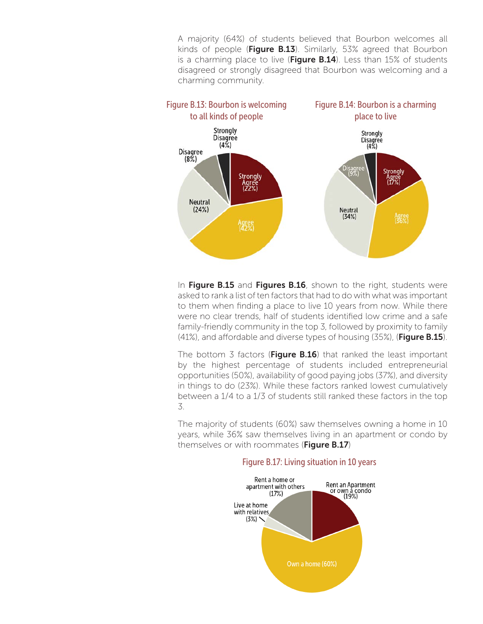A majority (64%) of students believed that Bourbon welcomes all kinds of people (Figure B.13). Similarly, 53% agreed that Bourbon is a charming place to live (Figure B.14). Less than 15% of students disagreed or strongly disagreed that Bourbon was welcoming and a charming community.



In Figure B.15 and Figures B.16, shown to the right, students were asked to rank a list of ten factors that had to do with what was important to them when finding a place to live 10 years from now. While there were no clear trends, half of students identified low crime and a safe family-friendly community in the top 3, followed by proximity to family (41%), and affordable and diverse types of housing (35%), (Figure B.15).

The bottom 3 factors (Figure  $B.16$ ) that ranked the least important by the highest percentage of students included entrepreneurial opportunities (50%), availability of good paying jobs (37%), and diversity in things to do (23%). While these factors ranked lowest cumulatively between a 1/4 to a 1/3 of students still ranked these factors in the top 3.

The majority of students (60%) saw themselves owning a home in 10 years, while 36% saw themselves living in an apartment or condo by themselves or with roommates (Figure B.17)



#### Figure B.17: Living situation in 10 years